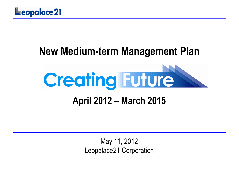

# **New Medium-term Management Plan**



May 11, 2012Leopalace21 Corporation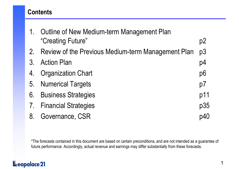## **Contents**

| $1_{1}$ | Outline of New Medium-term Management Plan         |     |
|---------|----------------------------------------------------|-----|
|         | "Creating Future"                                  | p2  |
| 2.      | Review of the Previous Medium-term Management Plan | p3  |
| 3.      | <b>Action Plan</b>                                 | p4  |
| 4.      | <b>Organization Chart</b>                          | p6  |
|         | 5. Numerical Targets                               | p7  |
|         | 6. Business Strategies                             | p11 |
|         | 7. Financial Strategies                            | p35 |
| 8.      | Governance, CSR                                    | p40 |

\*The forecasts contained in this document are based on certain preconditions, and are not intended as a guarantee of future performance. Accordingly, actual revenue and earnings may differ substantially from these forecasts.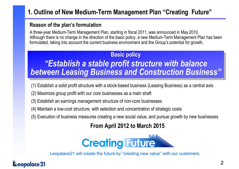## **1. Outline of New Medium-Term Management Plan "Creating Future"**

#### **Reason of the plan's formulation**

A three-year Medium-Term Management Plan, starting in fiscal 2011, was announced in May 2010. Although there is no change in the direction of the basic policy, a new Medium-Term Management Plan has been formulated, taking into account the current business environment and the Group's potential for growth.

### **Basic policy**

## *"Establish a stable profit structure with balance "Establish a stable profit structure with balance between Leasing Business and Construction Business" between Leasing Business and Construction Business"*

- (1) Establish a solid profit structure with a stock-based business (Leasing Business) as a central axis
- (2) Maximize group profit with our core businesses as a main shaft
- (3) Establish an earnings management structure of non-core businesses
- (4) Maintain a low-cost structure, with selection and concentration of strategic costs
- (5) Execution of business measures creating a new social value, and pursue growth by new businesses

## **From April 2012 to March 2015**



Leopalace21 will create the future by "creating new value" with our customers.

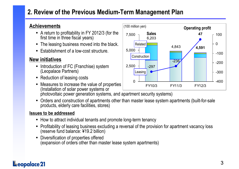## **2. Review of the Previous Medium-Term Management Plan**

#### **Achievements**

- A return to profitability in FY 2012/3 (for the first time in three fiscal years)
- The leasing business moved into the black.
- Establishment of a low-cost structure.

#### **New initiatives**

- Introduction of FC (Franchise) system (Leopalace Partners)
- Reduction of leasing costs
- $\bullet$  Measures to increase the value of properties (Installation of solar power systems or photovoltaic power generation systems, and apartment security systems)
- Orders and construction of apartments other than master lease system apartments (built-for-sale products, elderly care facilities, stores)

#### **Issues to be addressed**

- How to attract individual tenants and promote long-term tenancy
- Profitability of leasing business excluding a reversal of the provision for apartment vacancy loss (reserve fund balance: ¥19.2 billion)
- Diversification of properties offered (expansion of orders other than master lease system apartments)

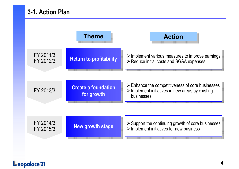## **3-1. Action Plan**

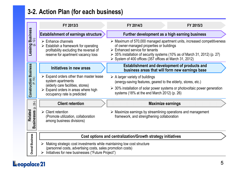## **3-2. Action Plan (for each business)**

|                                            | FY 2013/3                                                                                                                                                                                             | FY 2014/3<br>FY 2015/3                                                                                                                                                                                                                                                                                                                          |  |  |  |
|--------------------------------------------|-------------------------------------------------------------------------------------------------------------------------------------------------------------------------------------------------------|-------------------------------------------------------------------------------------------------------------------------------------------------------------------------------------------------------------------------------------------------------------------------------------------------------------------------------------------------|--|--|--|
|                                            | <b>Establishment of earnings structure</b>                                                                                                                                                            | Further development as a high earning business                                                                                                                                                                                                                                                                                                  |  |  |  |
| Leasing Business<br>$(p. 12-)$             | $\triangleright$ Enhance channels<br>$\triangleright$ Establish a framework for operating<br>profitability excluding the reversal of<br>reserve for apartment vacancy loss                            | $\triangleright$ Maximum of 570,000 managed apartment units, increased competitiveness<br>of owner-managed properties or buildings<br>$\triangleright$ Enhanced service for tenants<br>$\geq$ 35% installation of security systems (10% as of March 31, 2012) (p. 27)<br>$\triangleright$ System of 400 offices (357 offices at March 31, 2012) |  |  |  |
|                                            | Initiatives in new areas                                                                                                                                                                              | Establishment and development of products and<br>business areas that will form new earnings base                                                                                                                                                                                                                                                |  |  |  |
| <b>Construction Business</b><br>$(P. 19-)$ | $\triangleright$ Expand orders other than master lease<br>system apartments<br>(elderly care facilities, stores)<br>$\triangleright$ Expand orders in areas where high<br>occupancy rate is predicted | $\triangleright$ A larger variety of buildings<br>(energy-saving features, geared to the elderly, stores, etc.)<br>$\geq$ 30% installation of solar power systems or photovoltaic power generation<br>systems (18% at the end March 2012) (p. 26)                                                                                               |  |  |  |
|                                            | <b>Client retention</b>                                                                                                                                                                               | <b>Maximize earnings</b>                                                                                                                                                                                                                                                                                                                        |  |  |  |
| Businesses (p. 28-)<br><b>Related</b>      | $\triangleright$ Client retention<br>(Promote utilization, collaboration<br>among business divisions)                                                                                                 | $\triangleright$ Maximize earnings by streamlining operations and management<br>framework, and strengthening collaboration                                                                                                                                                                                                                      |  |  |  |
|                                            | Cost options and centralization/Growth strategy initiatives                                                                                                                                           |                                                                                                                                                                                                                                                                                                                                                 |  |  |  |
| <b>Overall Business</b>                    | Making strategic cost investments while maintaining low cost structure<br>(personnel costs, advertising costs, sales promotion costs)<br>Initiatives for new businesses ("Future Project")<br>➤       |                                                                                                                                                                                                                                                                                                                                                 |  |  |  |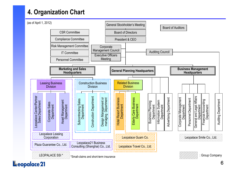## **4. Organization Chart**

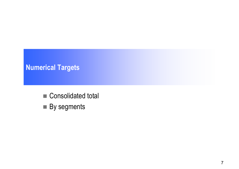## **Numerical Targets**

- Consolidated total
- By segments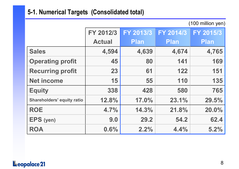## **5-1. Numerical Targets (Consolidated total)**

|                                   | (100 million yen)                                |             |             |             |  |
|-----------------------------------|--------------------------------------------------|-------------|-------------|-------------|--|
|                                   | FY 2015/3<br>FY 2013/3<br>FY 2012/3<br>FY 2014/3 |             |             |             |  |
|                                   | <b>Actual</b>                                    | <b>Plan</b> | <b>Plan</b> | <b>Plan</b> |  |
| <b>Sales</b>                      | 4,594                                            | 4,639       | 4,674       | 4,765       |  |
| <b>Operating profit</b>           | 45                                               | 80          | 141         | 169         |  |
| <b>Recurring profit</b>           | 23                                               | 61          | 122         | 151         |  |
| <b>Net income</b>                 | 15                                               | 55          | 110         | 135         |  |
| <b>Equity</b>                     | 338                                              | 428         | 580         | 765         |  |
| <b>Shareholders' equity ratio</b> | 12.8%                                            | 17.0%       | 23.1%       | 29.5%       |  |
| <b>ROE</b>                        | 4.7%                                             | 14.3%       | 21.8%       | 20.0%       |  |
| EPS (yen)                         | 9.0                                              | 29.2        | 54.2        | 62,4        |  |
| <b>ROA</b>                        | 0.6%                                             | 2.2%        | 4.4%        | 5.2%        |  |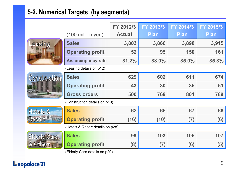## **5-2. Numerical Targets (by segments)**

| easing |  |
|--------|--|
|        |  |

|                     |                                  | FY 2012/3     | FY 2013/3   | FY 2014/3   | FY 2015/3   |
|---------------------|----------------------------------|---------------|-------------|-------------|-------------|
|                     | (100 million yen)                | <b>Actual</b> | <b>Plan</b> | <b>Plan</b> | <b>Plan</b> |
| Leasing             | <b>Sales</b>                     | 3,803         | 3,866       | 3,890       | 3,915       |
|                     | <b>Operating profit</b>          | 52            | 95          | 150         | 161         |
|                     | Av. occupancy rate               | 81.2%         | 83.0%       | 85.0%       | 85.8%       |
|                     | (Leasing details on p12)         |               |             |             |             |
| Construction        | <b>Sales</b>                     | 629           | 602         | 611         | 674         |
|                     | <b>Operating profit</b>          | 43            | 30          | 35          | 51          |
|                     | <b>Gross orders</b>              | 500           | 768         | 801         | 789         |
|                     | (Construction details on p19)    |               |             |             |             |
| Hotels &            | <b>Sales</b>                     | 62            | 66          | 67          | 68          |
| Resort              | <b>Operating profit</b>          | (16)          | (10)        | (7)         | (6)         |
|                     | (Hotels & Resort details on p28) |               |             |             |             |
| <b>Elderly Care</b> | <b>Sales</b>                     | 99            | 103         | 105         | 107         |



**Operating profit(8) (7) (6) (5)**

(Elderly Care details on p29)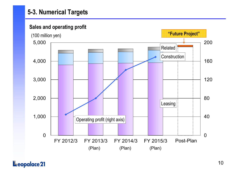## **5-3. Numerical Targets**

#### **Sales and operating profit**

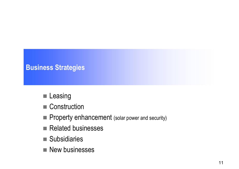## **Business Strategies**

- $\blacksquare$  Leasing
- Construction
- **Property enhancement** (solar power and security)
- Related businesses
- **Subsidiaries**
- **New businesses**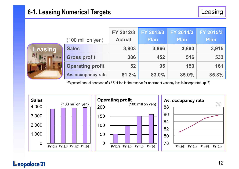## **6-1. Leasing Numerical Targets**

|                  | (100 million yen)       | FY 2012/3<br><b>Actual</b> | FY 2013/3<br><b>Plan</b> | FY 2014/3<br><b>Plan</b> | FY 2015/3<br><b>Plan</b> |
|------------------|-------------------------|----------------------------|--------------------------|--------------------------|--------------------------|
| <b>Leasing</b>   | <b>Sales</b>            | 3,803                      | 3,866                    | 3,890                    | 3,915                    |
| N<br><b>Next</b> | <b>Gross profit</b>     | 386                        | 452                      | 516                      | 533                      |
|                  | <b>Operating profit</b> | 52                         | 95                       | 150                      | 161                      |
|                  | Av. occupancy rate      | 81.2%                      | 83.0%                    | 85.0%                    | 85.8%                    |

\*Expected annual decrease of ¥2.5 billion in the reserve for apartment vacancy loss is incorporated. (p18)

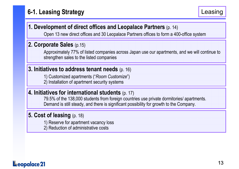## **6-1. Leasing Strategy**

## **1. Development of direct offices and Leopalace Partners** (p. 14)

Open 13 new direct offices and 30 Leopalace Partners offices to form a 400-office system

## **2. Corporate Sales** (p.15)

Approximately 77% of listed companies across Japan use our apartments, and we will continue to strengthen sales to the listed companies

## **3. Initiatives to address tenant needs** (p. 16)

1) Customized apartments ("*Room Customize*")

2) Installation of apartment security systems

#### **4. Initiatives for international students** (p. 17)

 79.5% of the 138,000 students from foreign countries use private dormitories/ apartments. Demand is still steady, and there is significant possibility for growth to the Company.

#### **5. Cost of leasing** (p. 18)

- 1) Reserve for apartment vacancy loss
- 2) Reduction of administrative costs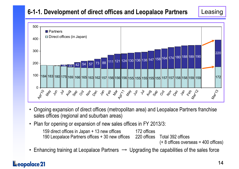## **6-1-1. Development of direct offices and Leopalace Partners**

Leasing



- • Ongoing expansion of direct offices (metropolitan area) and Leopalace Partners franchise sales offices (regional and suburban areas)
- Plan for opening or expansion of new sales offices in FY 2013/3:

```
159 direct offices in Japan + 13 new offices 172 offices
190 Leopalace Partners offices + 30 new offices 220 offices Total 392 offices
```
(+ 8 offices overseas = 400 offices)

 $\bullet$ Enhancing training at Leopalace Partners  $\rightarrow$  Upgrading the capabilities of the sales force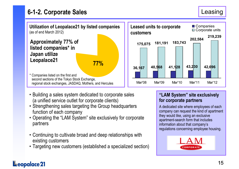



- Building a sales system dedicated to corporate sales (a unified service outlet for corporate clients)
- Strengthening sales targeting the Group headquarters function of each company
- Operating the "LAM System" site exclusively for corporate partners
- Continuing to cultivate broad and deep relationships with existing customers
- Targeting new customers (established a specialized section)

#### **"LAM System" site exclusively for corporate partners**

A dedicated site where employees of each company can request the kind of apartment they would like, using an exclusive apartment-search form that includes information about that company's regulations concerning employee housing.

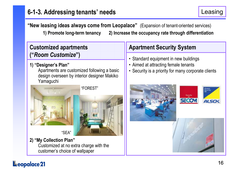## **6-1-3. Addressing tenants' needs**

**"New leasing ideas always come from Leopalace"** (Expansion of tenant-oriented services) **1) Promote long-term tenancy 2) Increase the occupancy rate through differentiation** 

#### **Customized apartments ("***Room Customize***")**

#### **1) "Designer's Plan"**

 Apartments are customized following a basic design overseen by interior designer Makiko Yamaguchi



"SEA"

**2) "My Collection Plan"** Customized at no extra charge with the customer's choice of wallpaper

## **Apartment Security System**

- Standard equipment in new buildings
- Aimed at attracting female tenants
- Security is a priority for many corporate clients

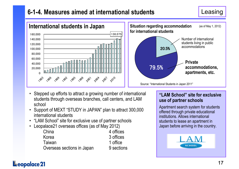## **6-1-4. Measures aimed at international students**

#### Leasing



- • Stepped up efforts to attract a growing number of international students through overseas branches, call centers, and LAM school
- Support of MEXT "STUDY in JAPAN" plan to attract 300,000 international students
- "LAM School" site for exclusive use of partner schools
- • Leopalace21 overseas offices (as of May 2012)
	- China 4 offices Korea 3 offices1 office **Taiwan** 9 sections Overseas sections in Japan

#### **"LAM School" site for exclusive use of partner schools**

Apartment search system for students offered through private educational institutions. Allows international students to lease an apartment in Japan before arriving in the country.

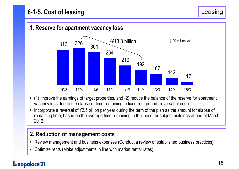## **6-1-5. Cost of leasing**



- • (1) Improve the earnings of target properties, and (2) reduce the balance of the reserve for apartment vacancy loss due to the elapse of time remaining in fixed rent period (reversal of cost)
- • Incorporate a reversal of ¥2.5 billion per year during the term of the plan as the amount for elapse of remaining time, based on the average time remaining in the lease for subject buildings at end of March 2012.

## **2. Reduction of management costs**

- Review management and business expenses (Conduct a review of established business practices)
- $\bullet$ Optimize rents (Make adjustments in line with market rental rates)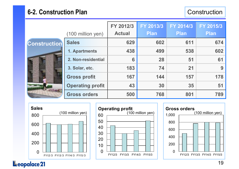## **6-2. Construction Plan**

**Construction** 

|                     |                         | FY 2012/3     | FY 2013/3   | FY 2014/3   | FY 2015/3   |
|---------------------|-------------------------|---------------|-------------|-------------|-------------|
|                     | (100 million yen)       | <b>Actual</b> | <b>Plan</b> | <b>Plan</b> | <b>Plan</b> |
| <b>Construction</b> | <b>Sales</b>            | 629           | 602         | 611         | 674         |
|                     | 1. Apartments           | 438           | 499         | 538         | 602         |
|                     | 2. Non-residential      | 6             | 28          | 51          | 61          |
|                     | 3. Solar, etc.          | 183           | 74          | 21          | 9           |
|                     | <b>Gross profit</b>     | 167           | 144         | 157         | 178         |
|                     | <b>Operating profit</b> | 43            | 30          | 35          | 51          |
|                     | <b>Gross orders</b>     | 500           | 768         | 801         | 789         |





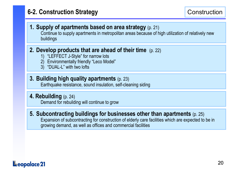## **6-2. Construction Strategy**

#### **1. Supply of apartments based on area strategy** (p. 21)

Continue to supply apartments in metropolitan areas because of high utilization of relatively new buildings

## **2. Develop products that are ahead of their time** (p. 22)

- 1) "LEFFECT J-Style" for narrow lots
- 2) Environmentally friendly "Leco Model"
- 3) "DUAL-L" with two lofts

#### **3. Building high quality apartments** (p. 23)

Earthquake resistance, sound insulation, self-cleaning siding

#### **4. Rebuilding** (p. 24)

Demand for rebuilding will continue to grow

#### **5. Subcontracting buildings for businesses other than apartments** (p. 25) Expansion of subcontracting for construction of elderly care facilities which are expected to be in growing demand, as well as offices and commercial facilities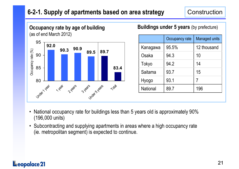## **6-2-1. Supply of apartments based on area strategy**



#### **Buildings under 5 years** (by prefecture)

|                 | Occupancy rate | <b>Managed units</b> |
|-----------------|----------------|----------------------|
| Kanagawa        | 95.5%          | 12 thousand          |
| Osaka           | 94.3           | 10                   |
| Tokyo           | 94.2           | 14                   |
| Saitama         | 93.7           | 15                   |
| Hyogo           | 93.1           |                      |
| <b>National</b> | 89.7           | 196                  |

- • National occupancy rate for buildings less than 5 years old is approximately 90% (196,000 units)
- Subcontracting and supplying apartments in areas where a high occupancy rate (ie. metropolitan segment) is expected to continue.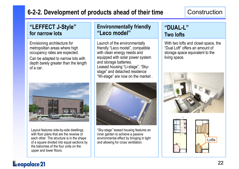## **6-2-2. Development of products ahead of their time**

#### **"LEFFECT J-Style"for narrow lots**

Envisioning architecture for metropolitan areas where high occupancy rates are expected.

Can be adapted to narrow lots with depth barely greater than the length of a car.



Layout features side-by-side dwellings, with floor plans that are the reverse of each other. The structure is in the shape of a square divided into equal sections by the balconies of the four units on the upper and lower floors.

#### **Environmentally friendly "Leco model"**

Launch of the environmentally friendly "Leco model", compatible with clean energy needs and equipped with solar power system and storage batteries. Leased housing "Li-stage", "Skystage" and detached residence "Wi-stage" are now on the market .



"Sky-stage" leased housing features an inner garden to achieve a passive environmental effect by bringing in light and allowing for cross ventilation.

### **"DUAL-L"Two lofts**

With two lofts and closet space, the "Dual Loft" offers an amount of storage space equivalent to the living space.



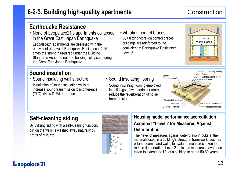## **6-2-3. Building high-quality apartments**

## **Construction**

#### **Earthquake Resistance**

 • None of Leopalace21's apartments collapsed in the Great East Japan Earthquake

 Leopalace21 apartments are designed with the equivalent of Level 2 Earthquake Resistance (1.25 times the strength required under the Building Standards Act), and not one building collapsed during the Great East Japan Earthquake.

## **Sound insulation**

 • Sound insulating wall structure Installation of sound insulating walls to increase sound transmission loss difference (TLD). (New DUAL-L products)

• Vibration control braces By utilizing vibration control braces, buildings are reinforced to the equivalent of Earthquake Resistance Level 3





## **Self-cleaning siding**

 By utilizing siding with a self-cleaning function, dirt on the walls is washed away naturally by drops of rain, etc.



#### **Housing model performance accreditation Acquired "Level 2 for Measures Against Deterioration"**

The "level of measures against deterioration" looks at the materials used in a building's structural framework, such as pillars, beams, and walls, to evaluate measures taken to reduce deterioration. Level 2 indicates measures have been taken to extend the life of a building to about 50-60 years.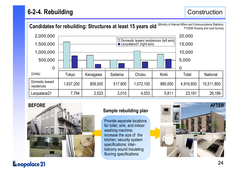## **6-2-4. Rebuilding**





#### **Sample rebuilding plan**

Provide separate locations for toilet, sink, and indoor washing machine; increase the size of the kitchen; security system specifications; interbalcony sound insulating flooring specifications

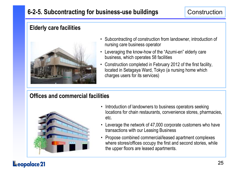## **6-2-5. Subcontracting for business-use buildings**

#### **Elderly care facilities**



- • Subcontracting of construction from landowner, introduction of nursing care business operator
- • Leveraging the know-how of the "Azumi-en" elderly care business, which operates 58 facilities
- • Construction completed in February 2012 of the first facility, located in Setagaya Ward, Tokyo (a nursing home which charges users for its services)

#### **Offices and commercial facilities**



- • Introduction of landowners to business operators seeking locations for chain restaurants, convenience stores, pharmacies,etc.
- • Leverage the network of 47,000 corporate customers who have transactions with our Leasing Business
- • Propose combined commercial/leased apartment complexes where stores/offices occupy the first and second stories, while the upper floors are leased apartments.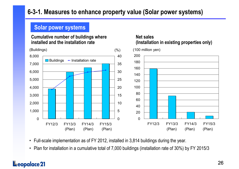## **6-3-1. Measures to enhance property value (Solar power systems)**

### **Solar power systems**

#### **Cumulative number of buildings where installed and the installation rate**



**Net sales** 

**(Installation in existing properties only)** 

- Full-scale implementation as of FY 2012, installed in 3,814 buildings during the year.
- Plan for installation in a cumulative total of 7,000 buildings (installation rate of 30%) by FY 2015/3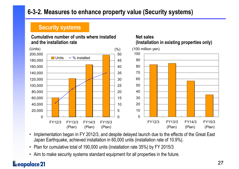## **6-3-2. Measures to enhance property value (Security systems)**

### **Security systems**

#### **Cumulative number of units where installed and the installation rate**



**Net sales** 

**(Installation in existing properties only)** 

- • Implementation began in FY 2012/3, and despite delayed launch due to the effects of the Great East Japan Earthquake, achieved installation in 60,000 units (installation rate of 10.9%).
- Plan for cumulative total of 190,000 units (installation rate 35%) by FY 2015/3
- Aim to make security systems standard equipment for all properties in the future.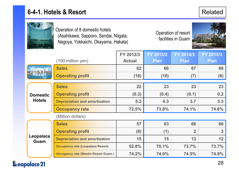## **6-4-1. Hotels & Resort**

|                   |                                            | FY 2012/3     | FY 2013/3   | FY 2014/3      | FY 2015/3   |
|-------------------|--------------------------------------------|---------------|-------------|----------------|-------------|
|                   | (100 million yen)                          | <b>Actual</b> | <b>Plan</b> | <b>Plan</b>    | <b>Plan</b> |
|                   | <b>Sales</b>                               | 62            | 66          | 67             | 68          |
| <b>Resort</b>     | <b>Operating profit</b>                    | (16)          | (10)        | (7)            | (6)         |
|                   |                                            |               |             |                |             |
|                   | <b>Sales</b>                               | 22            | 23          | 23             | 23          |
| <b>Domestic</b>   | <b>Operating profit</b>                    | (0.3)         | (0.4)       | (0.1)          | 0.2         |
| <b>Hotels</b>     | <b>Depreciation and amortization</b>       | 5.2           | 4.3         | 3.7            | 3.3         |
|                   | <b>Occupancy rate</b>                      | 72.5%         | 73.8%       | 74.1%          | 74.6%       |
|                   | (Million dollars)                          |               |             |                |             |
|                   | <b>Sales</b>                               | 57            | 63          | 66             | 66          |
|                   | <b>Operating profit</b>                    | (8)           | (1)         | $\overline{2}$ | 3           |
| eopalace.<br>Guam | <b>Depreciation and amortization</b>       | 15            | 15          | 13             | 12          |
|                   | <b>Occupancy rate (Leopalace Resort)</b>   | 52.8%         | 70.1%       | 73.7%          | 73.7%       |
|                   | <b>Occupancy rate (Westin Resort Guam)</b> | 74.2%         | 74.0%       | 74.5%          | 74.8%       |
|                   |                                            |               |             |                |             |

Operation of 8 domestic hotels (Asahikawa, Sapporo, Sendai, Niigata, Nagoya, Yokkaichi, Okayama, Hakata)

Operation of resortfacilities in Guam





RS.

**Domestic**

**Leopalace**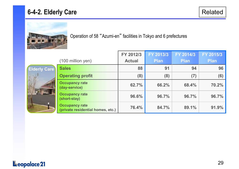## **6-4-2. Elderly Care**

Operation of 58 "Azumi-en" facilities in Tokyo and 6 prefectures

|                     |                                                            | FY 2012/3     | FY 2013/3   | FY 2014/3   | FY 2015/3   |
|---------------------|------------------------------------------------------------|---------------|-------------|-------------|-------------|
|                     | $(100 \text{ million yen})$                                | <b>Actual</b> | <b>Plan</b> | <b>Plan</b> | <b>Plan</b> |
| <b>Elderly Care</b> | <b>Sales</b>                                               | 88            | 91          | 94          | 96          |
|                     | <b>Operating profit</b>                                    | (8)           | (8)         | (7)         | (6)         |
|                     | <b>Occupancy rate</b><br>(day-service)                     | 62.7%         | 66.2%       | 68.4%       | 70.2%       |
|                     | <b>Occupancy rate</b><br>(short-stay)                      | 96.6%         | 96.7%       | 96.7%       | 96.7%       |
|                     | <b>Occupancy rate</b><br>(private residential homes, etc.) | 76.4%         | 84.7%       | 89.1%       | 91.9%       |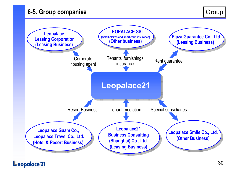## **6-5. Group companies**

**Group** 

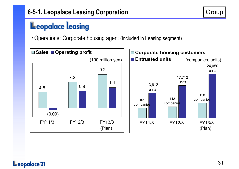## Leopalace leasing

・Operations:Corporate housing agent (included in Leasing segment)



#### Leopalace 21

**Group**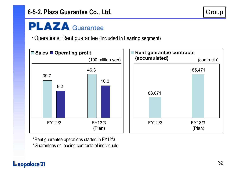## **PLAZA** Guarantee

・Operations:Rent guarantee (included in Leasing segment)



\*Rent guarantee operations started in FY12/3\*Guarantees on leasing contracts of individuals

#### Leopalace 21

Group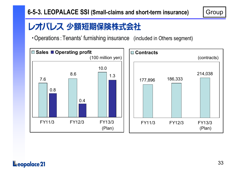

## レオパレス 少額短期保険株式会社

・Operations:Tenants' furnishing insurance (included in Others segment)

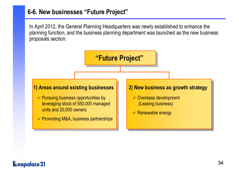## **6-6. New businesses "Future Project"**

In April 2012, the General Planning Headquarters was newly established to enhance the planning function, and the business planning department was launched as the new business proposals section.

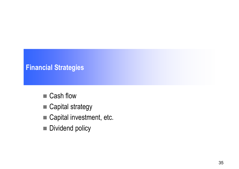## **Financial Strategies**

- Cash flow
- Capital strategy
- Capital investment, etc.
- Dividend policy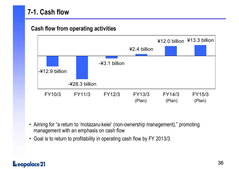## **7-1. Cash flow**

#### **Cash flow from operating activities**



- Aiming for "a return to 'motazaru-keiei' (non-ownership management)," promoting management with an emphasis on cash flow
- $\bullet$ Goal is to return to profitability in operating cash flow by FY 2013/3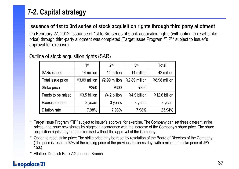## **7-2. Capital strategy**

#### **Issuance of 1st to 3rd series of stock acquisition rights through third party allotment**

On February 27, 2012, issuance of 1st to 3rd series of stock acquisition rights (with option to reset strike price) through third-party allotment was completed (Target Issue Program "TIP"\* subject to Issuer's approval for exercise).

|                      | $1$ st        | 2 <sub>nd</sub> | 3 <sub>rd</sub> | Total         |
|----------------------|---------------|-----------------|-----------------|---------------|
| <b>SARs issued</b>   | 14 million    | 14 million      | 14 million      | 42 million    |
| Total issue price    | ¥3.09 million | ¥2.99 million   | ¥2.89 million   | ¥8.98 million |
| Strike price         | ¥250          | ¥300            | ¥350            |               |
| Funds to be raised   | ¥3.5 billion  | ¥4.2 billion    | ¥4.9 billion    | ¥12.6 billion |
| Exercise period      | 3 years       | 3 years         | 3 years         | 3 years       |
| <b>Dilution rate</b> | 7.98%         | 7.98%           | 7.98%           | 23.94%        |

Outline of stock acquisition rights (SAR)

- \* Target Issue Program "TIP" subject to Issuer's approval for exercise. The Company can set three different strike prices, and issue new shares by stages in accordance with the increase of the Company's share price. The share acquisition rights may not be exercised without the approval of the Company.
- \* Option to reset strike price: The strike price may be reset by resolution of the Board of Directors of the Company. (The price is reset to 92% of the closing price of the previous business day, with a minimum strike price of JPY 150.)
- \* Allottee: Deutsch Bank AG, London Branch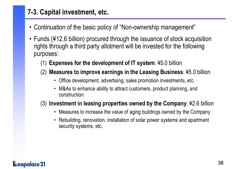## **7-3. Capital investment, etc.**

- Continuation of the basic policy of "Non-ownership management"
- Funds (¥12.6 billion) procured through the issuance of stock acquisitionrights through a third party allotment will be invested for the following purposes:
	- (1) **Expenses for the development of IT system**: ¥5.0 billion
	- (2) **Measures to improve earnings in the Leasing Business**: ¥5.0 billion
		- Office development, advertising, sales promotion investments, etc.
		- M&As to enhance ability to attract customers, product planning, and construction
	- (3) **Investment in leasing properties owned by the Company**: ¥2.6 billion
		- Measures to increase the value of aging buildings owned by the Company
		- Rebuilding, renovation, installation of solar power systems and apartment security systems, etc.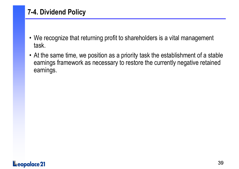## **7-4. Dividend Policy**

- We recognize that returning profit to shareholders is a vital management task.
- At the same time, we position as a priority task the establishment of a stable earnings framework as necessary to restore the currently negative retained earnings.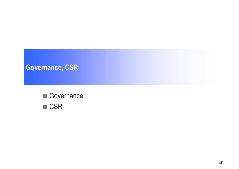## **Governance, CSR**

- Governance
- CSR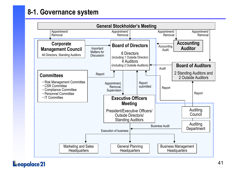## **8-1. Governance system**